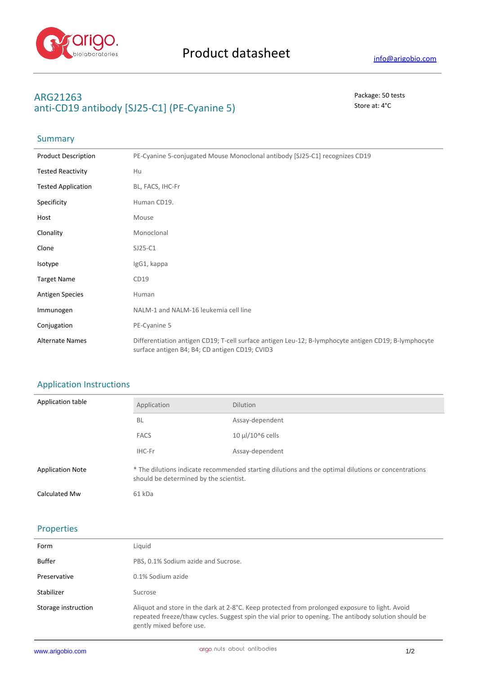

# **ARG21263** Package: 50 tests anti-CD19 antibody [SJ25-C1] (PE-Cyanine 5) Store at: 4<sup>°</sup>C

# Summary

| <b>Product Description</b> | PE-Cyanine 5-conjugated Mouse Monoclonal antibody [SJ25-C1] recognizes CD19                                                                            |  |
|----------------------------|--------------------------------------------------------------------------------------------------------------------------------------------------------|--|
| <b>Tested Reactivity</b>   | Hu                                                                                                                                                     |  |
| <b>Tested Application</b>  | BL, FACS, IHC-Fr                                                                                                                                       |  |
| Specificity                | Human CD19.                                                                                                                                            |  |
| Host                       | Mouse                                                                                                                                                  |  |
| Clonality                  | Monoclonal                                                                                                                                             |  |
| Clone                      | $SJ25-C1$                                                                                                                                              |  |
| Isotype                    | IgG1, kappa                                                                                                                                            |  |
| <b>Target Name</b>         | CD19                                                                                                                                                   |  |
| <b>Antigen Species</b>     | Human                                                                                                                                                  |  |
| Immunogen                  | NALM-1 and NALM-16 leukemia cell line                                                                                                                  |  |
| Conjugation                | PE-Cyanine 5                                                                                                                                           |  |
| <b>Alternate Names</b>     | Differentiation antigen CD19; T-cell surface antigen Leu-12; B-lymphocyte antigen CD19; B-lymphocyte<br>surface antigen B4; B4; CD antigen CD19; CVID3 |  |

## Application Instructions

| Application table       | Application                                                                                                                                   | <b>Dilution</b>       |
|-------------------------|-----------------------------------------------------------------------------------------------------------------------------------------------|-----------------------|
|                         | <b>BL</b>                                                                                                                                     | Assay-dependent       |
|                         | <b>FACS</b>                                                                                                                                   | $10 \mu$ l/10^6 cells |
|                         | IHC-Fr                                                                                                                                        | Assay-dependent       |
| <b>Application Note</b> | * The dilutions indicate recommended starting dilutions and the optimal dilutions or concentrations<br>should be determined by the scientist. |                       |
| Calculated Mw           | 61 kDa                                                                                                                                        |                       |

### Properties

| Form                | Liguid                                                                                                                                                                                                                             |
|---------------------|------------------------------------------------------------------------------------------------------------------------------------------------------------------------------------------------------------------------------------|
| Buffer              | PBS, 0.1% Sodium azide and Sucrose.                                                                                                                                                                                                |
| Preservative        | 0.1% Sodium azide                                                                                                                                                                                                                  |
| Stabilizer          | Sucrose                                                                                                                                                                                                                            |
| Storage instruction | Aliquot and store in the dark at 2-8°C. Keep protected from prolonged exposure to light. Avoid<br>repeated freeze/thaw cycles. Suggest spin the vial prior to opening. The antibody solution should be<br>gently mixed before use. |